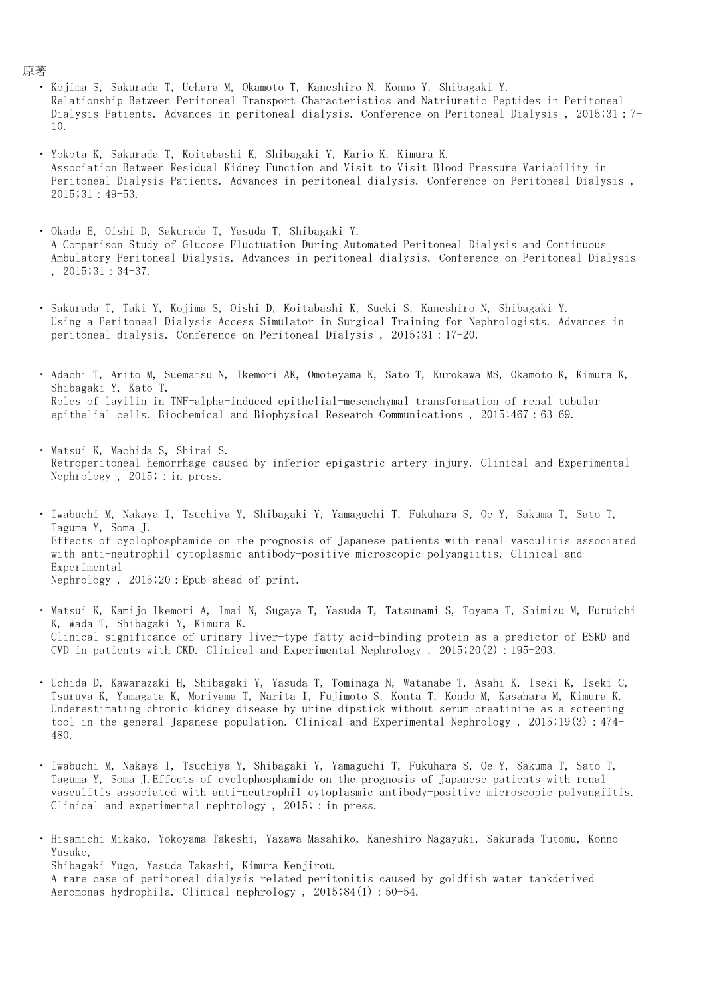- ・ Kojima S, Sakurada T, Uehara M, Okamoto T, Kaneshiro N, Konno Y, Shibagaki Y. Relationship Between Peritoneal Transport Characteristics and Natriuretic Peptides in Peritoneal Dialysis Patients. Advances in peritoneal dialysis. Conference on Peritoneal Dialysis , 2015;31:7- 10.
- ・ Yokota K, Sakurada T, Koitabashi K, Shibagaki Y, Kario K, Kimura K. Association Between Residual Kidney Function and Visit-to-Visit Blood Pressure Variability in Peritoneal Dialysis Patients. Advances in peritoneal dialysis. Conference on Peritoneal Dialysis , 2015;31:49-53.
- ・ Okada E, Oishi D, Sakurada T, Yasuda T, Shibagaki Y. A Comparison Study of Glucose Fluctuation During Automated Peritoneal Dialysis and Continuous Ambulatory Peritoneal Dialysis. Advances in peritoneal dialysis. Conference on Peritoneal Dialysis , 2015;31:34-37.
- $\ddot{\phantom{0}}$ Sakurada T, Taki Y, Kojima S, Oishi D, Koitabashi K, Sueki S, Kaneshiro N, Shibagaki Y. Using a Peritoneal Dialysis Access Simulator in Surgical Training for Nephrologists. Advances in peritoneal dialysis. Conference on Peritoneal Dialysis , 2015;31:17-20.
- $\ddot{\phantom{0}}$ Adachi T, Arito M, Suematsu N, Ikemori AK, Omoteyama K, Sato T, Kurokawa MS, Okamoto K, Kimura K, Shibagaki Y, Kato T. Roles of layilin in TNF-alpha-induced epithelial-mesenchymal transformation of renal tubular epithelial cells. Biochemical and Biophysical Research Communications, 2015;467:63-69.
- $\ddot{\phantom{0}}$ Matsui K, Machida S, Shirai S. Retroperitoneal hemorrhage caused by inferior epigastric artery injury. Clinical and Experimental Nephrology, 2015; : in press.
- ・ Iwabuchi M, Nakaya I, Tsuchiya Y, Shibagaki Y, Yamaguchi T, Fukuhara S, Oe Y, Sakuma T, Sato T, Taguma Y, Soma J. Effects of cyclophosphamide on the prognosis of Japanese patients with renal vasculitis associated with anti-neutrophil cytoplasmic antibody-positive microscopic polyangiitis. Clinical and Experimental Nephrology , 2015;20:Epub ahead of print.
- $\ddot{\phantom{0}}$ Matsui K, Kamijo-Ikemori A, Imai N, Sugaya T, Yasuda T, Tatsunami S, Toyama T, Shimizu M, Furuichi K, Wada T, Shibagaki Y, Kimura K. Clinical significance of urinary liver-type fatty acid-binding protein as a predictor of ESRD and CVD in patients with CKD. Clinical and Experimental Nephrology , 2015;20(2):195-203.
- ・ Uchida D, Kawarazaki H, Shibagaki Y, Yasuda T, Tominaga N, Watanabe T, Asahi K, Iseki K, Iseki C, Tsuruya K, Yamagata K, Moriyama T, Narita I, Fujimoto S, Konta T, Kondo M, Kasahara M, Kimura K. Underestimating chronic kidney disease by urine dipstick without serum creatinine as a screening tool in the general Japanese population. Clinical and Experimental Nephrology , 2015;19(3):474- 480.
- ・ Iwabuchi M, Nakaya I, Tsuchiya Y, Shibagaki Y, Yamaguchi T, Fukuhara S, Oe Y, Sakuma T, Sato T, Taguma Y, Soma J.Effects of cyclophosphamide on the prognosis of Japanese patients with renal vasculitis associated with anti-neutrophil cytoplasmic antibody-positive microscopic polyangiitis. Clinical and experimental nephrology,  $2015$ ; : in press.
- ・ Hisamichi Mikako, Yokoyama Takeshi, Yazawa Masahiko, Kaneshiro Nagayuki, Sakurada Tutomu, Konno Yusuke, Shibagaki Yugo, Yasuda Takashi, Kimura Kenjirou. A rare case of peritoneal dialysis-related peritonitis caused by goldfish water tankderived Aeromonas hydrophila. Clinical nephrology , 2015;84(1):50-54.

## 原著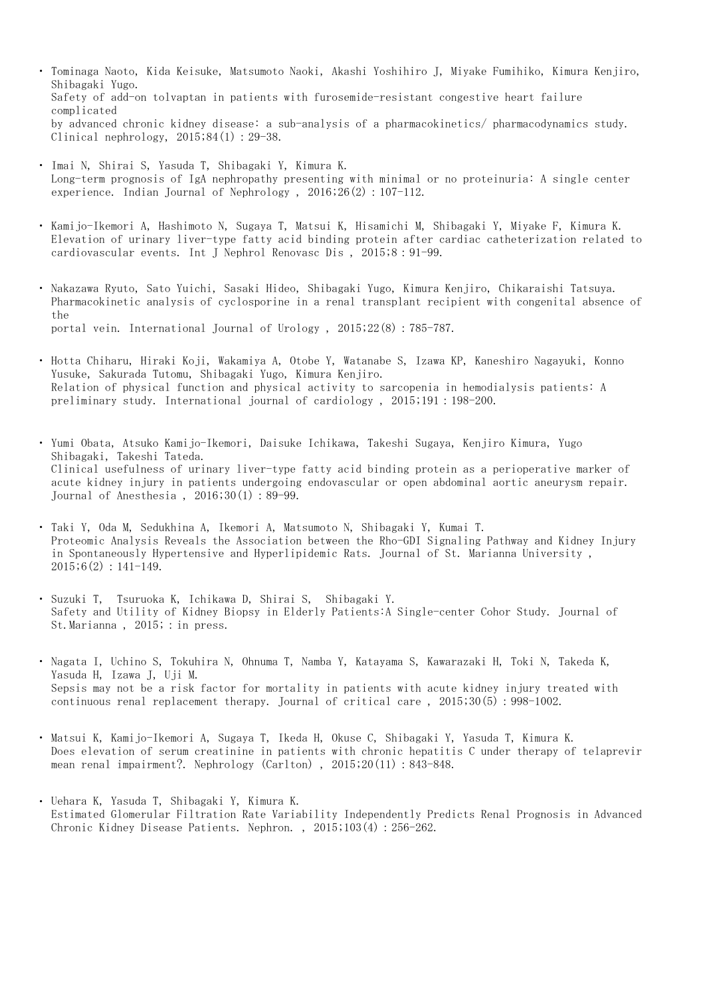- ・ Tominaga Naoto, Kida Keisuke, Matsumoto Naoki, Akashi Yoshihiro J, Miyake Fumihiko, Kimura Kenjiro, Shibagaki Yugo. Safety of add-on tolvaptan in patients with furosemide-resistant congestive heart failure complicated by advanced chronic kidney disease: a sub-analysis of a pharmacokinetics/ pharmacodynamics study. Clinical nephrology,  $2015;84(1):29-38$ .
- ・ Imai N, Shirai S, Yasuda T, Shibagaki Y, Kimura K. Long-term prognosis of IgA nephropathy presenting with minimal or no proteinuria: A single center experience. Indian Journal of Nephrology , 2016;26(2):107-112.
- ・ Kamijo-Ikemori A, Hashimoto N, Sugaya T, Matsui K, Hisamichi M, Shibagaki Y, Miyake F, Kimura K. Elevation of urinary liver-type fatty acid binding protein after cardiac catheterization related to cardiovascular events. Int J Nephrol Renovasc Dis , 2015;8:91-99.
- $\ddot{\phantom{0}}$ Nakazawa Ryuto, Sato Yuichi, Sasaki Hideo, Shibagaki Yugo, Kimura Kenjiro, Chikaraishi Tatsuya. Pharmacokinetic analysis of cyclosporine in a renal transplant recipient with congenital absence of the portal vein. International Journal of Urology , 2015;22(8):785-787.
- ・ Hotta Chiharu, Hiraki Koji, Wakamiya A, Otobe Y, Watanabe S, Izawa KP, Kaneshiro Nagayuki, Konno Yusuke, Sakurada Tutomu, Shibagaki Yugo, Kimura Kenjiro. Relation of physical function and physical activity to sarcopenia in hemodialysis patients: A preliminary study. International journal of cardiology , 2015;191:198-200.
- ・ Yumi Obata, Atsuko Kamijo-Ikemori, Daisuke Ichikawa, Takeshi Sugaya, Kenjiro Kimura, Yugo Shibagaki, Takeshi Tateda. Clinical usefulness of urinary liver-type fatty acid binding protein as a perioperative marker of acute kidney injury in patients undergoing endovascular or open abdominal aortic aneurysm repair. Journal of Anesthesia , 2016;30(1):89-99.
- ・ Taki Y, Oda M, Sedukhina A, Ikemori A, Matsumoto N, Shibagaki Y, Kumai T. Proteomic Analysis Reveals the Association between the Rho-GDI Signaling Pathway and Kidney Injury in Spontaneously Hypertensive and Hyperlipidemic Rats. Journal of St. Marianna University ,  $2015;6(2):141-149.$
- ・ Suzuki T, Tsuruoka K, Ichikawa D, Shirai S, Shibagaki Y. Safety and Utility of Kidney Biopsy in Elderly Patients:A Single-center Cohor Study. Journal of St. Marianna, 2015; : in press.
- ・ Nagata I, Uchino S, Tokuhira N, Ohnuma T, Namba Y, Katayama S, Kawarazaki H, Toki N, Takeda K, Yasuda H, Izawa J, Uji M. Sepsis may not be a risk factor for mortality in patients with acute kidney injury treated with continuous renal replacement therapy. Journal of critical care , 2015;30(5):998-1002.
- ・ Matsui K, Kamijo-Ikemori A, Sugaya T, Ikeda H, Okuse C, Shibagaki Y, Yasuda T, Kimura K. Does elevation of serum creatinine in patients with chronic hepatitis C under therapy of telaprevir mean renal impairment?. Nephrology (Carlton) , 2015;20(11):843-848.
- ・ Uehara K, Yasuda T, Shibagaki Y, Kimura K. Estimated Glomerular Filtration Rate Variability Independently Predicts Renal Prognosis in Advanced Chronic Kidney Disease Patients. Nephron., 2015;103(4): 256-262.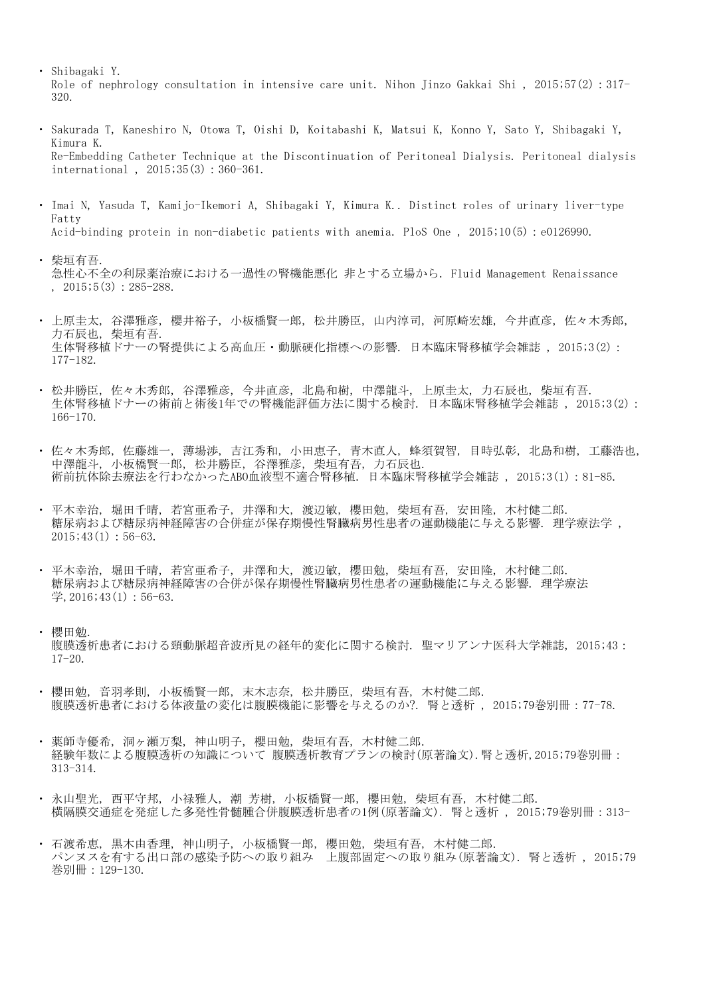- ・ Shibagaki Y. Role of nephrology consultation in intensive care unit. Nihon Jinzo Gakkai Shi , 2015;57(2):317- 320.
- ・ Sakurada T, Kaneshiro N, Otowa T, Oishi D, Koitabashi K, Matsui K, Konno Y, Sato Y, Shibagaki Y, Kimura K. Re-Embedding Catheter Technique at the Discontinuation of Peritoneal Dialysis. Peritoneal dialysis international , 2015;35(3):360-361.
- ・ Imai N, Yasuda T, Kamijo-Ikemori A, Shibagaki Y, Kimura K.. Distinct roles of urinary liver-type Fatty Acid-binding protein in non-diabetic patients with anemia. PloS One , 2015;10(5):e0126990.
- ・ 柴垣有吾. 急性心不全の利尿薬治療における一過性の腎機能悪化 非とする立場から. Fluid Management Renaissance  $, 2015; 5(3): 285-288.$
- ・ 上原圭太, 谷澤雅彦, 櫻井裕子, 小板橋賢一郎, 松井勝臣, 山内淳司, 河原崎宏雄, 今井直彦, 佐々木秀郎, 力石辰也, 柴垣有吾. 生体腎移植ドナーの腎提供による高血圧・動脈硬化指標への影響. 日本臨床腎移植学会雑誌 , 2015;3(2): 177-182.
- ・ 松井勝臣, 佐々木秀郎, 谷澤雅彦, 今井直彦, 北島和樹, 中澤龍斗, 上原圭太, 力石辰也, 柴垣有吾. 生体腎移植ドナーの術前と術後1年での腎機能評価方法に関する検討. 日本臨床腎移植学会雑誌 , 2015;3(2): 166-170.
- ・ 佐々木秀郎, 佐藤雄一, 薄場渉, 吉江秀和, 小田恵子, 青木直人, 蜂須賀智, 目時弘彰, 北島和樹, 工藤浩也, 中澤龍斗, 小板橋賢一郎, 松井勝臣, 谷澤雅彦, 柴垣有吾, 力石辰也. 術前抗体除去療法を行わなかったABO血液型不適合腎移植. 日本臨床腎移植学会雑誌 , 2015;3(1):81-85.
- ・ 平木幸治, 堀田千晴, 若宮亜希子, 井澤和大, 渡辺敏, 櫻田勉, 柴垣有吾, 安田隆, 木村健二郎. 糖尿病および糖尿病神経障害の合併症が保存期慢性腎臓病男性患者の運動機能に与える影響. 理学療法学 ,  $2015;43(1):56-63.$
- ・ 平木幸治, 堀田千晴, 若宮亜希子, 井澤和大, 渡辺敏, 櫻田勉, 柴垣有吾, 安田隆, 木村健二郎. 糖尿病および糖尿病神経障害の合併が保存期慢性腎臓病男性患者の運動機能に与える影響. 理学療法  $\ddot{\Xi}$ , 2016; 43(1): 56-63.

## ・ 櫻田勉.

腹膜透析患者における頸動脈超音波所見の経年的変化に関する検討. 聖マリアンナ医科大学雑誌, 2015;43: 17-20.

- $\ddot{\phantom{0}}$ 櫻田勉, 音羽孝則, 小板橋賢一郎, 末木志奈, 松井勝臣, 柴垣有吾, 木村健二郎. 腹膜透析患者における体液量の変化は腹膜機能に影響を与えるのか?. 腎と透析 , 2015;79巻別冊:77-78.
- $\ddot{\phantom{0}}$ 薬師寺優希, 洞ヶ瀬万梨, 神山明子, 櫻田勉, 柴垣有吾, 木村健二郎. 経験年数による腹膜透析の知識について 腹膜透析教育プランの検討(原著論文).腎と透析,2015;79巻別冊: 313-314.
- $\ddot{\phantom{0}}$ 永山聖光, 西平守邦, 小禄雅人, 潮 芳樹, 小板橋賢一郎, 櫻田勉, 柴垣有吾, 木村健二郎. 横隔膜交通症を発症した多発性骨髄腫合併腹膜透析患者の1例(原著論文). 腎と透析 , 2015;79巻別冊:313-
- ・ 石渡希恵, 黒木由香理, 神山明子, 小板橋賢一郎, 櫻田勉, 柴垣有吾, 木村健二郎. パンヌスを有する出口部の感染予防への取り組み 上腹部固定への取り組み(原著論文). 腎と透析 , 2015;79 巻別冊:129-130.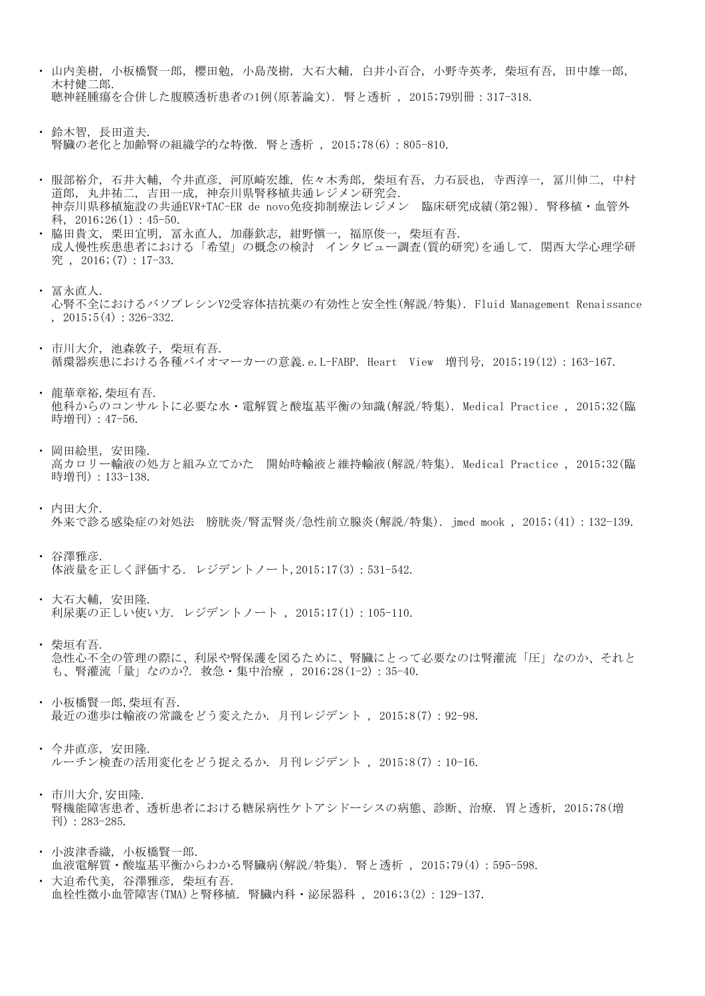- ・ 山内美樹, 小板橋賢一郎, 櫻田勉, 小島茂樹, 大石大輔, 白井小百合, 小野寺英孝, 柴垣有吾, 田中雄一郎, 木村健二郎. 聴神経腫瘍を合併した腹膜透析患者の1例(原著論文). 腎と透析 , 2015;79別冊:317-318.
- ・ 鈴木智, 長田道夫. 腎臓の老化と加齢腎の組織学的な特徴. 腎と透析 , 2015;78(6):805-810.
- ・ 服部裕介, 石井大輔, 今井直彦, 河原崎宏雄, 佐々木秀郎, 柴垣有吾, 力石辰也, 寺西淳一, 冨川伸二, 中村 道郎, 丸井祐二, 吉田一成, 神奈川県腎移植共通レジメン研究会. 神奈川県移植施設の共通EVR+TAC-ER de novo免疫抑制療法レジメン 臨床研究成績(第2報). 腎移植・血管外 科, 2016;26(1):45-50.
- ・ 脇田貴文, 栗田宜明, 冨永直人, 加藤欽志, 紺野愼一, 福原俊一, 柴垣有吾. 成人慢性疾患患者における「希望」の概念の検討 インタビュー調査(質的研究)を通して. 関西大学心理学研 究 , 2016;(7):17-33.
- ・ 冨永直人. 心腎不全におけるバソプレシンV2受容体拮抗薬の有効性と安全性(解説/特集). Fluid Management Renaissance  $, 2015; 5(4): 326-332.$
- ・ 市川大介, 池森敦子, 柴垣有吾. 循環器疾患における各種バイオマーカーの意義.e.L-FABP. Heart View 増刊号, 2015;19(12):163-167.
- ・ 龍華章裕,柴垣有吾. 他科からのコンサルトに必要な水・電解質と酸塩基平衡の知識(解説/特集). Medical Practice , 2015;32(臨 時増刊):47-56.
- ・ 岡田絵里, 安田隆. 高カロリー輸液の処方と組み立てかた 開始時輸液と維持輸液(解説/特集). Medical Practice , 2015;32(臨 時増刊):133-138.
- ・ 内田大介. 外来で診る感染症の対処法 膀胱炎/腎盂腎炎/急性前立腺炎(解説/特集). jmed mook , 2015;(41):132-139.
- ・ 谷澤雅彦. 体液量を正しく評価する. レジデントノート,2015;17(3):531-542.
- ・ 大石大輔, 安田隆. 利尿薬の正しい使い方. レジデントノート , 2015;17(1):105-110.
- ・ 柴垣有吾. 急性心不全の管理の際に、利尿や腎保護を図るために、腎臓にとって必要なのは腎灌流「圧」なのか、それと も、腎灌流「量」なのか?. 救急・集中治療 , 2016;28(1-2):35-40.
- ・ 小板橋賢一郎,柴垣有吾. 最近の進歩は輸液の常識をどう変えたか. 月刊レジデント , 2015;8(7):92-98.
- ・ 今井直彦, 安田隆. ルーチン検査の活用変化をどう捉えるか. 月刊レジデント , 2015;8(7):10-16.
- ・ 市川大介,安田隆. 腎機能障害患者、透析患者における糖尿病性ケトアシドーシスの病態、診断、治療. 胃と透析, 2015;78(増 刊):283-285.
- ・ 小波津香織, 小板橋賢一郎. 血液電解質・酸塩基平衡からわかる腎臓病(解説/特集). 腎と透析 , 2015;79(4):595-598.
- ・ 大迫希代美, 谷澤雅彦, 柴垣有吾. 血栓性微小血管障害(TMA)と腎移植. 腎臓内科・泌尿器科 , 2016;3(2):129-137.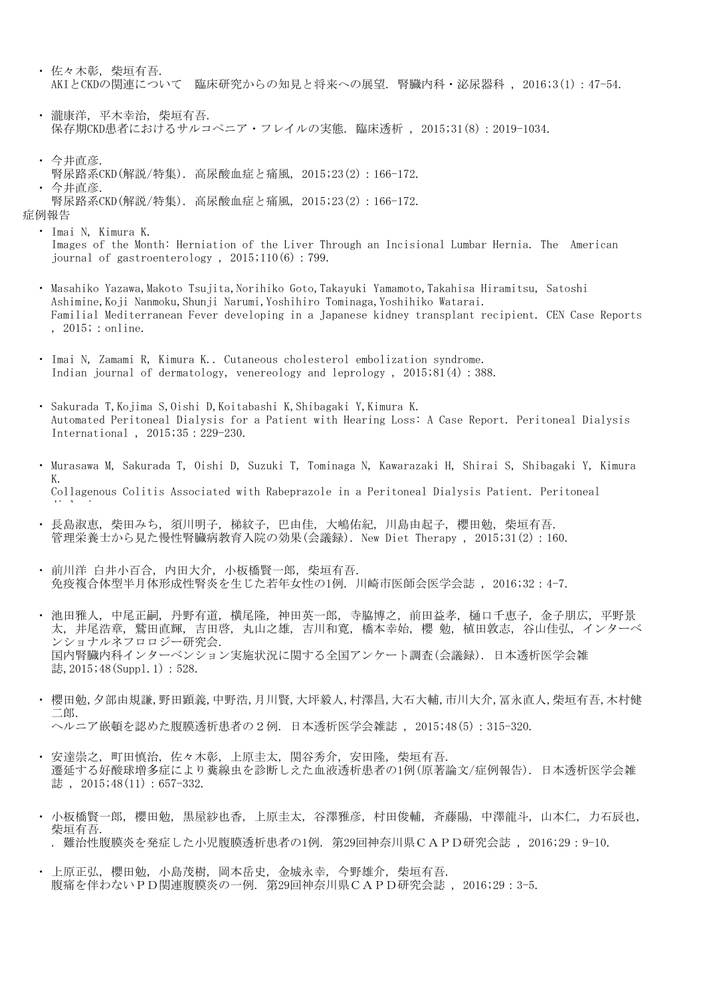- ・ 佐々木彰, 柴垣有吾. AKIとCKDの関連について 臨床研究からの知見と将来への展望. 腎臓内科・泌尿器科 , 2016;3(1):47-54.
- ・ 瀧康洋, 平木幸治, 柴垣有吾. 保存期CKD患者におけるサルコペニア・フレイルの実態. 臨床透析 , 2015;31(8):2019-1034.
- ・ 今井直彦.  $\ddot{\phantom{0}}$ 今井直彦. 腎尿路系CKD(解説/特集). 高尿酸血症と痛風, 2015;23(2):166-172.

症例報告 腎尿路系CKD(解説/特集). 高尿酸血症と痛風, 2015;23(2):166-172.

- ・ Imai N, Kimura K. Images of the Month: Herniation of the Liver Through an Incisional Lumbar Hernia. The American journal of gastroenterology,  $2015;110(6):799$ .
- ・ Masahiko Yazawa,Makoto Tsujita,Norihiko Goto,Takayuki Yamamoto,Takahisa Hiramitsu, Satoshi Ashimine,Koji Nanmoku,Shunji Narumi,Yoshihiro Tominaga,Yoshihiko Watarai. Familial Mediterranean Fever developing in a Japanese kidney transplant recipient. CEN Case Reports , 2015; : online.
- ・ Imai N, Zamami R, Kimura K.. Cutaneous cholesterol embolization syndrome. Indian journal of dermatology, venereology and leprology , 2015;81(4):388.
- ・ Sakurada T,Kojima S,Oishi D,Koitabashi K,Shibagaki Y,Kimura K. Automated Peritoneal Dialysis for a Patient with Hearing Loss: A Case Report. Peritoneal Dialysis International , 2015;35:229-230.
- ・ Murasawa M, Sakurada T, Oishi D, Suzuki T, Tominaga N, Kawarazaki H, Shirai S, Shibagaki Y, Kimura K. Collagenous Colitis Associated with Rabeprazole in a Peritoneal Dialysis Patient. Peritoneal di l i
- $\ddot{\phantom{0}}$ 長島淑恵, 柴田みち, 須川明子, 梯紋子, 巴由佳, 大嶋佑紀, 川島由起子, 櫻田勉, 柴垣有吾. 管理栄養士から見た慢性腎臓病教育入院の効果(会議録). New Diet Therapy , 2015;31(2):160.
- $\ddot{\phantom{0}}$ 前川洋 白井小百合, 内田大介, 小板橋賢一郎, 柴垣有吾. 免疫複合体型半月体形成性腎炎を生じた若年女性の1例. 川崎市医師会医学会誌 , 2016;32:4-7.
- ・ 池田雅人, 中尾正嗣, 丹野有道, 横尾隆, 神田英一郎, 寺脇博之, 前田益孝, 樋口千恵子, 金子朋広, 平野景 太, 井尾浩章, 鷲田直輝, 吉田啓, 丸山之雄, 吉川和寛, 橋本幸始, 櫻 勉, 植田敦志, 谷山佳弘, インターベ ンショナルネフロロジー研究会. 国内腎臓内科インターベンション実施状況に関する全国アンケート調査(会議録). 日本透析医学会雑 誌,2015;48(Suppl.1):528.
- ・ 櫻田勉,夕部由規謙,野田顕義,中野浩,月川賢,大坪毅人,村澤昌,大石大輔,市川大介,冨永直人,柴垣有吾,木村健 二郎. ヘルニア嵌頓を認めた腹膜透析患者の2例. 日本透析医学会雑誌 , 2015;48(5):315-320.
- $\ddot{\phantom{0}}$ 安達崇之, 町田慎治, 佐々木彰, 上原圭太, 関谷秀介, 安田隆, 柴垣有吾. 遷延する好酸球増多症により糞線虫を診断しえた血液透析患者の1例(原著論文/症例報告). 日本透析医学会雑 誌, 2015;48(11):657-332.
- ・ 小板橋賢一郎, 櫻田勉, 黒屋紗也香, 上原圭太, 谷澤雅彦, 村田俊輔, 斉藤陽, 中澤龍斗, 山本仁, 力石辰也, 柴垣有吾. . 難治性腹膜炎を発症した小児腹膜透析患者の1例. 第29回神奈川県CAPD研究会誌 , 2016;29:9-10.
- $\ddot{\phantom{0}}$ 上原正弘, 櫻田勉, 小島茂樹, 岡本岳史, 金城永幸, 今野雄介, 柴垣有吾. 腹痛を伴わないPD関連腹膜炎の一例. 第29回神奈川県CAPD研究会誌 , 2016;29:3-5.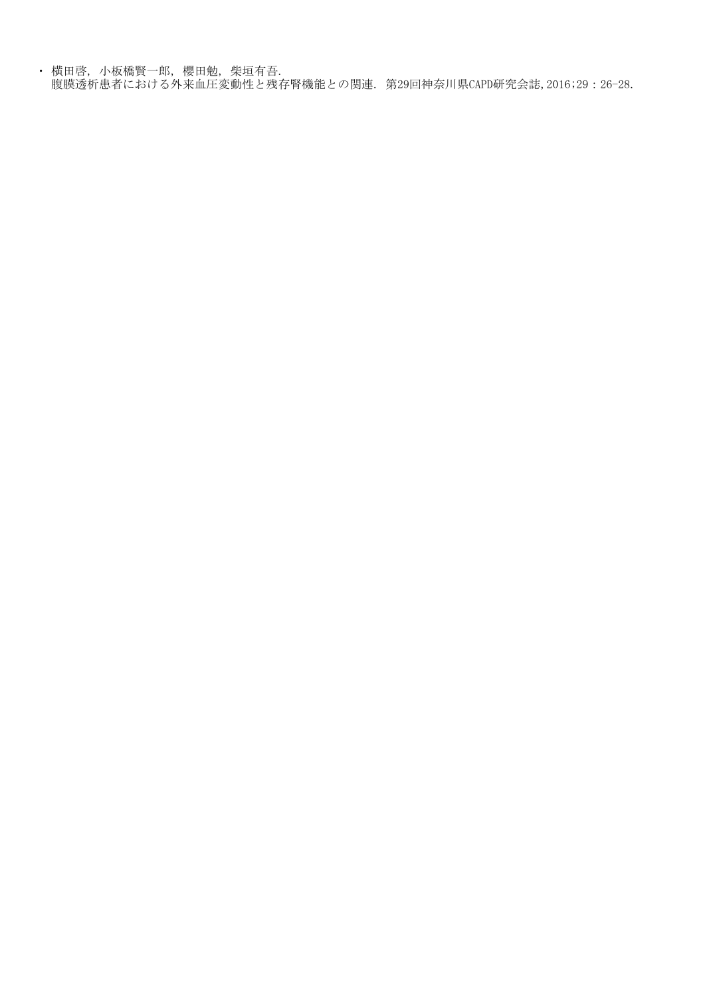・ 横田啓, 小板橋賢一郎, 櫻田勉, 柴垣有吾. 腹膜透析患者における外来血圧変動性と残存腎機能との関連. 第29回神奈川県CAPD研究会誌,2016;29:26-28.